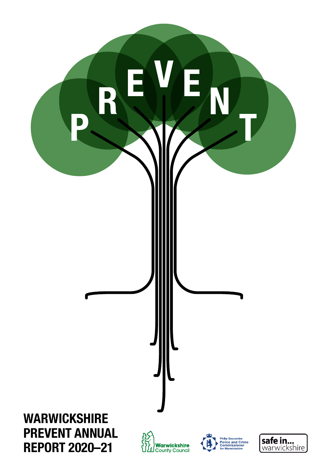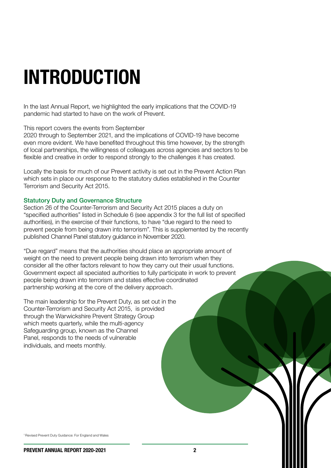In the last Annual Report, we highlighted the early implications that the COVID-19 pandemic had started to have on the work of Prevent.

This report covers the events from September

2020 through to September 2021, and the implications of COVID-19 have become even more evident. We have benefited throughout this time however, by the strength of local partnerships, the willingness of colleagues across agencies and sectors to be flexible and creative in order to respond strongly to the challenges it has created.

Locally the basis for much of our Prevent activity is set out in the Prevent Action Plan which sets in place our response to the statutory duties established in the Counter Terrorism and Security Act 2015.

#### Statutory Duty and Governance Structure

Section 26 of the Counter-Terrorism and Security Act 2015 places a duty on "specified authorities" listed in Schedule 6 (see appendix 3 for the full list of specified authorities), in the exercise of their functions, to have "due regard to the need to prevent people from being drawn into terrorism". This is supplemented by the recently published Channel Panel statutory guidance in November 2020.

"Due regard" means that the authorities should place an appropriate amount of weight on the need to prevent people being drawn into terrorism when they consider all the other factors relevant to how they carry out their usual functions. Government expect all speciated authorities to fully participate in work to prevent people being drawn into terrorism and states effective coordinated partnership working at the core of the delivery approach.

The main leadership for the Prevent Duty, as set out in the Counter-Terrorism and Security Act 2015, is provided through the Warwickshire Prevent Strategy Group which meets quarterly, while the multi-agency Safeguarding group, known as the Channel Panel, responds to the needs of vulnerable individuals, and meets monthly.

1 Revised Prevent Duty Guidance: For England and Wales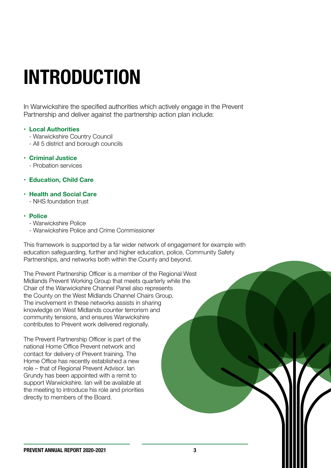In Warwickshire the specified authorities which actively engage in the Prevent Partnership and deliver against the partnership action plan include:

#### **• Local Authorities**

- Warwickshire Country Council
- All 5 district and borough councils
- **Criminal Justice**
	- Probation services
- **Education, Child Care**
- **Health and Social Care**
	- NHS foundation trust
- **Police**
	- Warwickshire Police
	- Warwickshire Police and Crime Commissioner

This framework is supported by a far wider network of engagement for example with education safeguarding, further and higher education, police, Community Safety Partnerships, and networks both within the County and beyond.

The Prevent Partnership Officer is a member of the Regional West Midlands Prevent Working Group that meets quarterly while the Chair of the Warwickshire Channel Panel also represents the County on the West Midlands Channel Chairs Group. The involvement in these networks assists in sharing knowledge on West Midlands counter terrorism and community tensions, and ensures Warwickshire contributes to Prevent work delivered regionally.

The Prevent Partnership Officer is part of the national Home Office Prevent network and contact for delivery of Prevent training. The Home Office has recently established a new role – that of Regional Prevent Advisor. Ian Grundy has been appointed with a remit to support Warwickshire. Ian will be available at the meeting to introduce his role and priorities directly to members of the Board.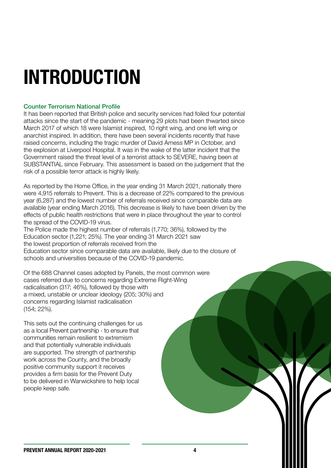#### Counter Terrorism National Profile

It has been reported that British police and security services had foiled four potential attacks since the start of the pandemic - meaning 29 plots had been thwarted since March 2017 of which 18 were Islamist inspired, 10 right wing, and one left wing or anarchist inspired. In addition, there have been several incidents recently that have raised concerns, including the tragic murder of David Amess MP in October, and the explosion at Liverpool Hospital. It was in the wake of the latter incident that the Government raised the threat level of a terrorist attack to SEVERE, having been at SUBSTANTIAL since February. This assessment is based on the judgement that the risk of a possible terror attack is highly likely.

As reported by the Home Office, in the year ending 31 March 2021, nationally there were 4,915 referrals to Prevent. This is a decrease of 22% compared to the previous year (6,287) and the lowest number of referrals received since comparable data are available (year ending March 2016). This decrease is likely to have been driven by the effects of public health restrictions that were in place throughout the year to control the spread of the COVID-19 virus.

The Police made the highest number of referrals (1,770; 36%), followed by the Education sector (1,221; 25%). The year ending 31 March 2021 saw the lowest proportion of referrals received from the Education sector since comparable data are available, likely due to the closure of schools and universities because of the COVID-19 pandemic.

Of the 688 Channel cases adopted by Panels, the most common were cases referred due to concerns regarding Extreme Right-Wing radicalisation (317; 46%), followed by those with a mixed, unstable or unclear ideology (205; 30%) and concerns regarding Islamist radicalisation (154; 22%).

This sets out the continuing challenges for us as a local Prevent partnership - to ensure that communities remain resilient to extremism and that potentially vulnerable individuals are supported. The strength of partnership work across the County, and the broadly positive community support it receives provides a firm basis for the Prevent Duty to be delivered in Warwickshire to help local people keep safe.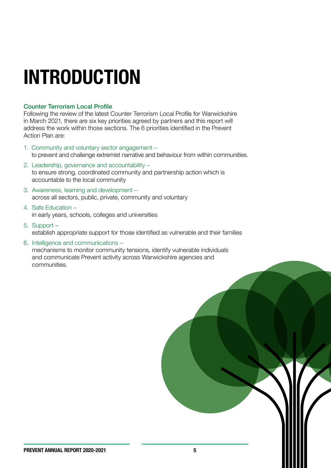#### Counter Terrorism Local Profile

Following the review of the latest Counter Terrorism Local Profile for Warwickshire in March 2021, there are six key priorities agreed by partners and this report will address the work within those sections. The 6 priorities identified in the Prevent Action Plan are:

- 1. Community and voluntary sector engagement to prevent and challenge extremist narrative and behaviour from within communities.
- 2. Leadership, governance and accountability to ensure strong, coordinated community and partnership action which is accountable to the local community
- 3. Awareness, learning and development across all sectors, public, private, community and voluntary
- 4. Safe Education in early years, schools, colleges and universities
- 5. Support establish appropriate support for those identified as vulnerable and their families
- 6. Intelligence and communications mechanisms to monitor community tensions, identify vulnerable individuals and communicate Prevent activity across Warwickshire agencies and communities.

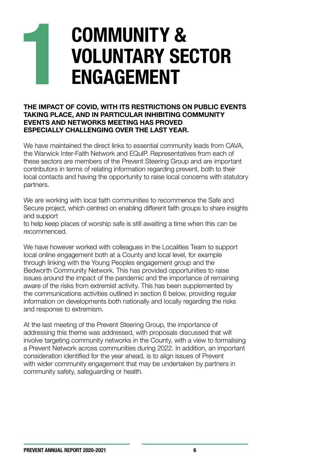## **COMMUNITY & VOLUNTARY SECTOR ENGAGEMENT**

#### **THE IMPACT OF COVID, WITH ITS RESTRICTIONS ON PUBLIC EVENTS TAKING PLACE, AND IN PARTICULAR INHIBITING COMMUNITY EVENTS AND NETWORKS MEETING HAS PROVED ESPECIALLY CHALLENGING OVER THE LAST YEAR.**

We have maintained the direct links to essential community leads from CAVA, the Warwick Inter-Faith Network and EQuIP. Representatives from each of these sectors are members of the Prevent Steering Group and are important contributors in terms of relating information regarding prevent, both to their local contacts and having the opportunity to raise local concerns with statutory partners.

We are working with local faith communities to recommence the Safe and Secure project, which centred on enabling different faith groups to share insights and support

to help keep places of worship safe is still awaiting a time when this can be recommenced.

We have however worked with colleagues in the Localities Team to support local online engagement both at a County and local level, for example through linking with the Young Peoples engagement group and the Bedworth Community Network. This has provided opportunities to raise issues around the impact of the pandemic and the importance of remaining aware of the risks from extremist activity. This has been supplemented by the communications activities outlined in section 6 below, providing regular information on developments both nationally and locally regarding the risks and response to extremism.

At the last meeting of the Prevent Steering Group, the importance of addressing this theme was addressed, with proposals discussed that will involve targeting community networks in the County, with a view to formalising a Prevent Network across communities during 2022. In addition, an important consideration identified for the year ahead, is to align issues of Prevent with wider community engagement that may be undertaken by partners in community safety, safeguarding or health.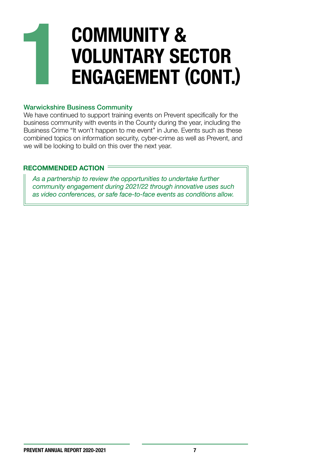## **COMMUNITY & VOLUNTARY SECTOR ENGAGEMENT (CONT.)**

#### Warwickshire Business Community

We have continued to support training events on Prevent specifically for the business community with events in the County during the year, including the Business Crime "It won't happen to me event" in June. Events such as these combined topics on information security, cyber-crime as well as Prevent, and we will be looking to build on this over the next year.

#### **RECOMMENDED ACTION**

*As a partnership to review the opportunities to undertake further community engagement during 2021/22 through innovative uses such as video conferences, or safe face-to-face events as conditions allow.*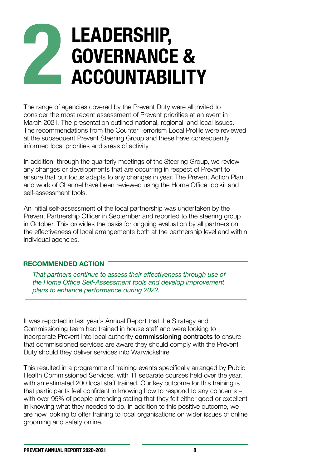### **LEADERSHIP,**   $\mathbb Z$ **GOVERNANCE & ACCOUNTABILITY**

The range of agencies covered by the Prevent Duty were all invited to consider the most recent assessment of Prevent priorities at an event in March 2021. The presentation outlined national, regional, and local issues. The recommendations from the Counter Terrorism Local Profile were reviewed at the subsequent Prevent Steering Group and these have consequently informed local priorities and areas of activity.

In addition, through the quarterly meetings of the Steering Group, we review any changes or developments that are occurring in respect of Prevent to ensure that our focus adapts to any changes in year. The Prevent Action Plan and work of Channel have been reviewed using the Home Office toolkit and self-assessment tools.

An initial self-assessment of the local partnership was undertaken by the Prevent Partnership Officer in September and reported to the steering group in October. This provides the basis for ongoing evaluation by all partners on the effectiveness of local arrangements both at the partnership level and within individual agencies.

#### **RECOMMENDED ACTION**

*That partners continue to assess their effectiveness through use of the Home Office Self-Assessment tools and develop improvement plans to enhance performance during 2022.*

It was reported in last year's Annual Report that the Strategy and Commissioning team had trained in house staff and were looking to incorporate Prevent into local authority commissioning contracts to ensure that commissioned services are aware they should comply with the Prevent Duty should they deliver services into Warwickshire.

This resulted in a programme of training events specifically arranged by Public Health Commissioned Services, with 11 separate courses held over the year, with an estimated 200 local staff trained. Our key outcome for this training is that participants feel confident in knowing how to respond to any concerns – with over 95% of people attending stating that they felt either good or excellent in knowing what they needed to do. In addition to this positive outcome, we are now looking to offer training to local organisations on wider issues of online grooming and safety online.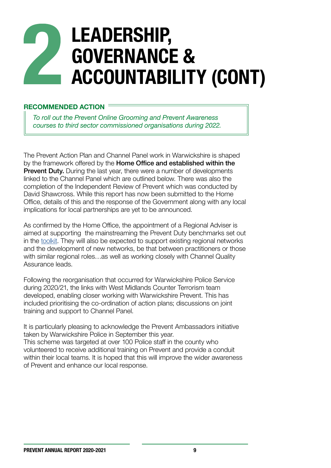## **LEADERSHIP, GOVERNANCE & ACCOUNTABILITY (CONT)**

#### **RECOMMENDED ACTION**

*To roll out the Prevent Online Grooming and Prevent Awareness courses to third sector commissioned organisations during 2022.*

The Prevent Action Plan and Channel Panel work in Warwickshire is shaped by the framework offered by the **Home Office and established within the Prevent Duty.** During the last year, there were a number of developments linked to the Channel Panel which are outlined below. There was also the completion of the Independent Review of Prevent which was conducted by David Shawcross. While this report has now been submitted to the Home Office, details of this and the response of the Government along with any local implications for local partnerships are yet to be announced.

As confirmed by the Home Office, the appointment of a Regional Adviser is aimed at supporting the mainstreaming the Prevent Duty benchmarks set out in the [toolkit](https://eur02.safelinks.protection.outlook.com/?url=https://assets.publishing.service.gov.uk/government/uploads/system/uploads/attachment_data/file/736759/Prevent_Duty_Toolkit_for_Local_Authorities.pdf&data=04%7C01%7Cgeoffthomas@warwickshire.gov.uk%7Cfb132f87efcd481b4c7908d984d94a49%7C88b0aa0659274bbba89389cc2713ac82%7C0%7C0%7C637686891348490790%7CUnknown%7CTWFpbGZsb3d8eyJWIjoiMC4wLjAwMDAiLCJQIjoiV2luMzIiLCJBTiI6Ik1haWwiLCJXVCI6Mn0=%7C3000&sdata=yr70vX8D9kE3w+fiFzudp90QN5pzRmBODngOz9AFST0=&reserved=0). They will also be expected to support existing regional networks and the development of new networks, be that between practitioners or those with similar regional roles…as well as working closely with Channel Quality Assurance leads.

Following the reorganisation that occurred for Warwickshire Police Service during 2020/21, the links with West Midlands Counter Terrorism team developed, enabling closer working with Warwickshire Prevent. This has included prioritising the co-ordination of action plans; discussions on joint training and support to Channel Panel.

It is particularly pleasing to acknowledge the Prevent Ambassadors initiative taken by Warwickshire Police in September this year. This scheme was targeted at over 100 Police staff in the county who volunteered to receive additional training on Prevent and provide a conduit within their local teams. It is hoped that this will improve the wider awareness of Prevent and enhance our local response.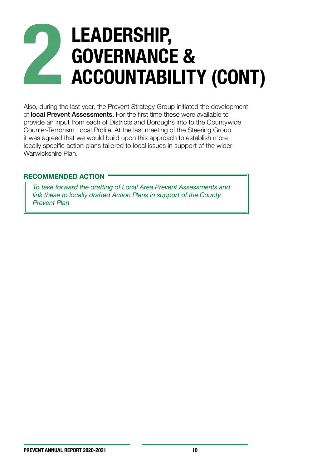## **LEADERSHIP, GOVERNANCE & ACCOUNTABILITY (CONT)**

Also, during the last year, the Prevent Strategy Group initiated the development of local Prevent Assessments. For the first time these were available to provide an input from each of Districts and Boroughs into to the Countywide Counter-Terrorism Local Profile. At the last meeting of the Steering Group, it was agreed that we would build upon this approach to establish more locally specific action plans tailored to local issues in support of the wider Warwickshire Plan.

#### **RECOMMENDED ACTION**

*To take forward the drafting of Local Area Prevent Assessments and link these to locally drafted Action Plans in support of the County Prevent Plan*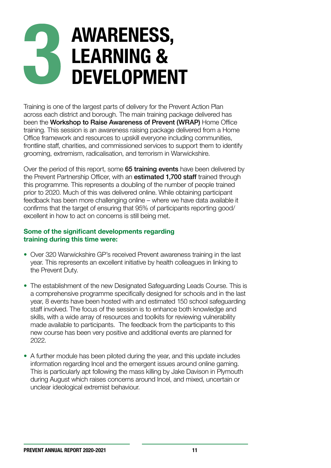## **AWARENESS, LEARNING & DEVELOPMENT**

Training is one of the largest parts of delivery for the Prevent Action Plan across each district and borough. The main training package delivered has been the Workshop to Raise Awareness of Prevent (WRAP) Home Office training. This session is an awareness raising package delivered from a Home Office framework and resources to upskill everyone including communities, frontline staff, charities, and commissioned services to support them to identify grooming, extremism, radicalisation, and terrorism in Warwickshire.

Over the period of this report, some 65 training events have been delivered by the Prevent Partnership Officer, with an **estimated 1,700 staff** trained through this programme. This represents a doubling of the number of people trained prior to 2020. Much of this was delivered online. While obtaining participant feedback has been more challenging online – where we have data available it confirms that the target of ensuring that 95% of participants reporting good/ excellent in how to act on concerns is still being met.

#### **Some of the significant developments regarding training during this time were:**

- Over 320 Warwickshire GP's received Prevent awareness training in the last year. This represents an excellent initiative by health colleagues in linking to the Prevent Duty.
- The establishment of the new Designated Safeguarding Leads Course. This is a comprehensive programme specifically designed for schools and in the last year, 8 events have been hosted with and estimated 150 school safeguarding staff involved. The focus of the session is to enhance both knowledge and skills, with a wide array of resources and toolkits for reviewing vulnerability made available to participants. The feedback from the participants to this new course has been very positive and additional events are planned for 2022.
- A further module has been piloted during the year, and this update includes information regarding Incel and the emergent issues around online gaming. This is particularly apt following the mass killing by Jake Davison in Plymouth during August which raises concerns around Incel, and mixed, uncertain or unclear ideological extremist behaviour.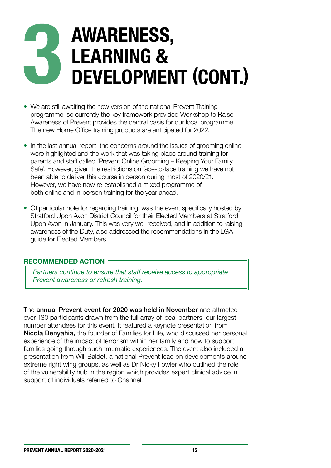## **AWARENESS, LEARNING & DEVELOPMENT (CONT.)**

- We are still awaiting the new version of the national Prevent Training programme, so currently the key framework provided Workshop to Raise Awareness of Prevent provides the central basis for our local programme. The new Home Office training products are anticipated for 2022.
- In the last annual report, the concerns around the issues of grooming online were highlighted and the work that was taking place around training for parents and staff called 'Prevent Online Grooming – Keeping Your Family Safe'. However, given the restrictions on face-to-face training we have not been able to deliver this course in person during most of 2020/21. However, we have now re-established a mixed programme of both online and in-person training for the year ahead.
- Of particular note for regarding training, was the event specifically hosted by Stratford Upon Avon District Council for their Elected Members at Stratford Upon Avon in January. This was very well received, and in addition to raising awareness of the Duty, also addressed the recommendations in the LGA guide for Elected Members.

#### **RECOMMENDED ACTION**

*Partners continue to ensure that staff receive access to appropriate Prevent awareness or refresh training.*

The annual Prevent event for 2020 was held in November and attracted over 130 participants drawn from the full array of local partners, our largest number attendees for this event. It featured a keynote presentation from Nicola Benyahia, the founder of Families for Life, who discussed her personal experience of the impact of terrorism within her family and how to support families going through such traumatic experiences. The event also included a presentation from Will Baldet, a national Prevent lead on developments around extreme right wing groups, as well as Dr Nicky Fowler who outlined the role of the vulnerability hub in the region which provides expert clinical advice in support of individuals referred to Channel.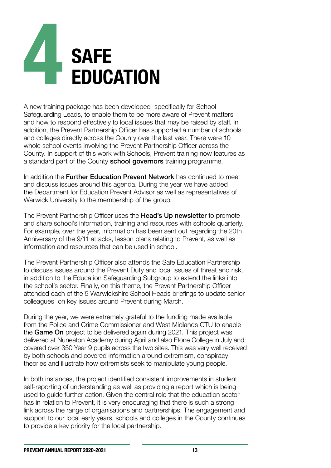# **SAFE EDUCATION**

A new training package has been developed specifically for School Safeguarding Leads, to enable them to be more aware of Prevent matters and how to respond effectively to local issues that may be raised by staff. In addition, the Prevent Partnership Officer has supported a number of schools and colleges directly across the County over the last year. There were 10 whole school events involving the Prevent Partnership Officer across the County. In support of this work with Schools, Prevent training now features as a standard part of the County **school governors** training programme.

In addition the **Further Education Prevent Network** has continued to meet and discuss issues around this agenda. During the year we have added the Department for Education Prevent Advisor as well as representatives of Warwick University to the membership of the group.

The Prevent Partnership Officer uses the Head's Up newsletter to promote and share school's information, training and resources with schools quarterly. For example, over the year, information has been sent out regarding the 20th Anniversary of the 9/11 attacks, lesson plans relating to Prevent, as well as information and resources that can be used in school.

The Prevent Partnership Officer also attends the Safe Education Partnership to discuss issues around the Prevent Duty and local issues of threat and risk, in addition to the Education Safeguarding Subgroup to extend the links into the school's sector. Finally, on this theme, the Prevent Partnership Officer attended each of the 5 Warwickshire School Heads briefings to update senior colleagues on key issues around Prevent during March.

During the year, we were extremely grateful to the funding made available from the Police and Crime Commissioner and West Midlands CTU to enable the Game On project to be delivered again during 2021. This project was delivered at Nuneaton Academy during April and also Etone College in July and covered over 350 Year 9 pupils across the two sites. This was very well received by both schools and covered information around extremism, conspiracy theories and illustrate how extremists seek to manipulate young people.

In both instances, the project identified consistent improvements in student self-reporting of understanding as well as providing a report which is being used to guide further action. Given the central role that the education sector has in relation to Prevent, it is very encouraging that there is such a strong link across the range of organisations and partnerships. The engagement and support to our local early years, schools and colleges in the County continues to provide a key priority for the local partnership.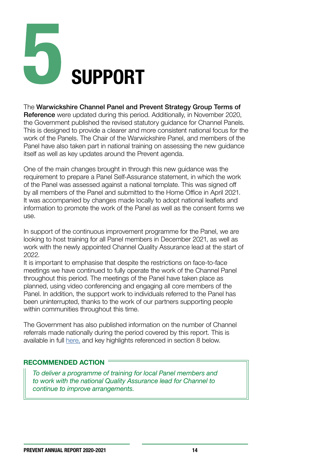## 5 **SUPPORT**

#### The Warwickshire Channel Panel and Prevent Strategy Group Terms of

Reference were updated during this period. Additionally, in November 2020, the Government published the revised statutory guidance for Channel Panels. This is designed to provide a clearer and more consistent national focus for the work of the Panels. The Chair of the Warwickshire Panel, and members of the Panel have also taken part in national training on assessing the new guidance itself as well as key updates around the Prevent agenda.

One of the main changes brought in through this new guidance was the requirement to prepare a Panel Self-Assurance statement, in which the work of the Panel was assessed against a national template. This was signed off by all members of the Panel and submitted to the Home Office in April 2021. It was accompanied by changes made locally to adopt national leaflets and information to promote the work of the Panel as well as the consent forms we use.

In support of the continuous improvement programme for the Panel, we are looking to host training for all Panel members in December 2021, as well as work with the newly appointed Channel Quality Assurance lead at the start of 2022.

It is important to emphasise that despite the restrictions on face-to-face meetings we have continued to fully operate the work of the Channel Panel throughout this period. The meetings of the Panel have taken place as planned, using video conferencing and engaging all core members of the Panel. In addition, the support work to individuals referred to the Panel has been uninterrupted, thanks to the work of our partners supporting people within communities throughout this time.

The Government has also published information on the number of Channel referrals made nationally during the period covered by this report. This is available in full [here,](https://www.gov.uk/government/statistics/individuals-referred-to-and-supported-through-the-prevent-programme-april-2020-to-march-2021/individuals-referred-to-and-supported-through-the-prevent-programme-england-and-wales-april-2020-to-march-2021) and key highlights referenced in section 8 below.

#### **RECOMMENDED ACTION**

*To deliver a programme of training for local Panel members and to work with the national Quality Assurance lead for Channel to continue to improve arrangements.*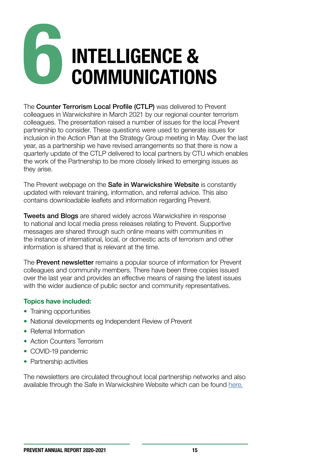# **INTELLIGENCE & COMMUNICATIONS**

The Counter Terrorism Local Profile (CTLP) was delivered to Prevent colleagues in Warwickshire in March 2021 by our regional counter terrorism colleagues. The presentation raised a number of issues for the local Prevent partnership to consider. These questions were used to generate issues for inclusion in the Action Plan at the Strategy Group meeting in May. Over the last year, as a partnership we have revised arrangements so that there is now a quarterly update of the CTLP delivered to local partners by CTU which enables the work of the Partnership to be more closely linked to emerging issues as they arise.

The Prevent webpage on the Safe in Warwickshire Website is constantly updated with relevant training, information, and referral advice. This also contains downloadable leaflets and information regarding Prevent.

Tweets and Blogs are shared widely across Warwickshire in response to national and local media press releases relating to Prevent. Supportive messages are shared through such online means with communities in the instance of international, local, or domestic acts of terrorism and other information is shared that is relevant at the time.

The **Prevent newsletter** remains a popular source of information for Prevent colleagues and community members. There have been three copies issued over the last year and provides an effective means of raising the latest issues with the wider audience of public sector and community representatives.

#### **Topics have included:**

- Training opportunities
- National developments eg Independent Review of Prevent
- Referral Information
- Action Counters Terrorism
- COVID-19 pandemic
- Partnership activities

The newsletters are circulated throughout local partnership networks and also available through the Safe in Warwickshire Website which can be found [here.](https://safeinwarwickshire.com/prevent/)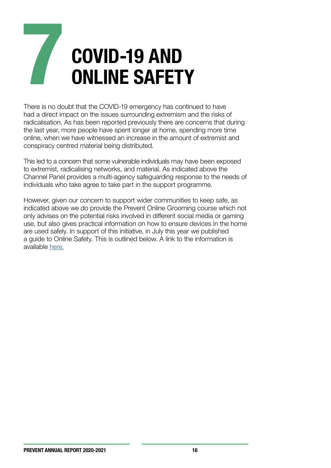## **COVID-19 AND ONLINE SAFETY**

There is no doubt that the COVID-19 emergency has continued to have had a direct impact on the issues surrounding extremism and the risks of radicalisation. As has been reported previously there are concerns that during the last year, more people have spent longer at home, spending more time online, when we have witnessed an increase in the amount of extremist and conspiracy centred material being distributed.

This led to a concern that some vulnerable individuals may have been exposed to extremist, radicalising networks, and material. As indicated above the Channel Panel provides a multi-agency safeguarding response to the needs of individuals who take agree to take part in the support programme.

However, given our concern to support wider communities to keep safe, as indicated above we do provide the Prevent Online Grooming course which not only advises on the potential risks involved in different social media or gaming use, but also gives practical information on how to ensure devices in the home are used safely. In support of this initiative, in July this year we published a guide to Online Safety. This is outlined below. A link to the information is available [here.](https://headsup.warwickshire.gov.uk/assets/1/warwickshire_online_safety_leaflet.pdf)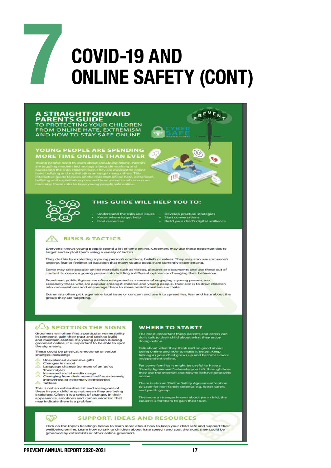

#### **A STRAIGHTFORWARD PARENTS GUIDE**

TO PROTECTING YOUR CHILDREN<br>FROM ONLINE HATE, EXTREMISM<br>AND HOW TO STAY SAFE ONLINE

#### YOUNG PEOPLE ARE SPENDING<br>MORE TIME ONLINE THAN EVER



#### THIS GUIDE WILL HELP YOU TO:

- Understand the risks and issues Develop practical strategies<br>Know where to get help Start conversations - Find resources
	-

 $R^E$ 

 $E_{\bf N}$ 

**Ta** 

- Build your child's digital resilience

τŪ

#### **RISKS & TACTICS**

Everyone knows young people spend a lot of time online. Groomers may use these opportunities to target and exploit them using a variety of tactics.

They do this by exploiting a young person's emotions, beliefs or values. They may also use someone's anxiety, fear or feelings of isolation that many young people are currently experiencing.

Some may take popular online materials such as videos, pictures or documents and use these out of<br>context to coerce a young person into holding a different opinion or changing their behaviour.

Prominent public figures are often misquoted as a means of engaging a young person, too.<br>Especially those who are popular amongst children and young people. Their aim is to draw children<br>into conversations and encourage th

Extremists often pick a genuine local issue or concern and use it to spread lies, fear and hate about the group they are targeting.

#### **ELA SPOTTING THE SIGNS**

Groomers will often find a particular vulnerability<br>in someone, gain their trust and seek to build<br>and maintain control. If a young person is being<br>and maintain control. If a young person is being<br>the signs early.

These could be physical, emotional or verbal changes including:

- 4 Unexplained expensive gifts
- 
- 
- Onanges in mod<br>Changes in mod<br>Language change (to more of an 'us' vs<br>"them' style)
- therm style)<br>Increased social media usage<br>Changing from their normal self to extremely<br>introverted or extremely extroverted
- **A** Tattoos

This is not an exhaustive list and seeing one of<br>these in your child may not mean they are being<br>exploited. Often it is a series of changes in their<br>appearance, emotions and communication that<br>may indicate there is a probl

#### **WHERE TO START?**

The most important thing parents and carers can<br>do is talk to their child about what they enjoy doing online.

Talk about what they think isn't so good about<br>being online and how to make it better. Keep<br>talking as your child grows up and becomes more<br>independent online.

For some families it might be useful to have a For some ramilies it might be useful to have a<br>"Family Agreement" whereby you talk through how<br>they use the internet and how to behave positively

There is also an 'Online Safety Agreement' option<br>to cater for non-family settings e.g. foster carers<br>and youth group.

The more a stranger knows about your child, the<br>easier it is for them to gain their trust.

#### **SUPPORT, IDEAS AND RESOURCES**

Click on the topics headings below to learn more about how to keep your child safe and support their<br>wellbeing online. Learn how to talk to children about hate speech and spot the signs they could be groomed by extremists or other online groomers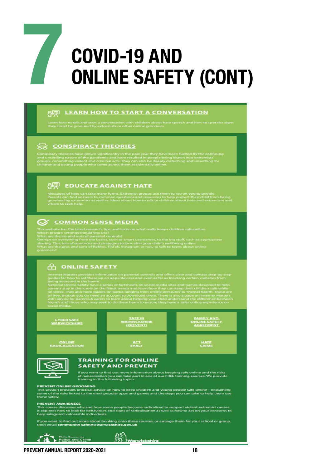

## **COVID-19 AND ONLINE SAFETY (CONT)**

#### **A LEARN HOW TO START A CONVERSATION**

Learn how to talk and start a conversation with children a<br>they could be recomed by extremists as affect colline mo

#### CONSPIRACY THEORIES

#### **PO EDUCATE AGAINST HATE**

#### C COMMON SENSE MEDIA

ite has the latest research, tips, and to<br>vacy settings should you use?

#### **PO ONLINE SAFETY**



Philip Seccombe<br>Police and Crime

<u>78</u>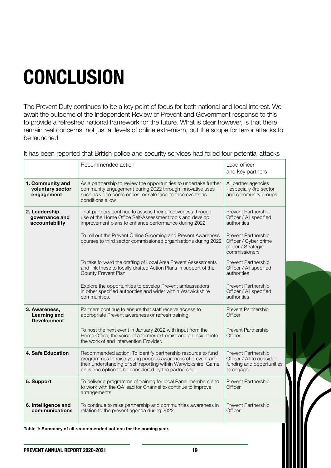## **CONCLUSION**

The Prevent Duty continues to be a key point of focus for both national and local interest. We await the outcome of the Independent Review of Prevent and Government response to this to provide a refreshed national framework for the future. What is clear however, is that there remain real concerns, not just at levels of online extremism, but the scope for terror attacks to be launched.

It has been reported that British police and security services had foiled four potential attacks

|                                                     | Recommended action                                                                                                                                                                                                                                     | Lead officer<br>and key partners                                                           |
|-----------------------------------------------------|--------------------------------------------------------------------------------------------------------------------------------------------------------------------------------------------------------------------------------------------------------|--------------------------------------------------------------------------------------------|
| 1. Community and<br>voluntary sector<br>engagement  | As a partnership to review the opportunities to undertake further<br>community engagement during 2022 through innovative uses<br>such as video conferences, or safe face-to-face events as<br>conditions allow                                         | All partner agencies<br>- especially 3rd sector<br>and community groups                    |
| 2. Leadership,<br>governance and<br>accountability  | That partners continue to assess their effectiveness through<br>use of the Home Office Self-Assessment tools and develop<br>improvement plans to enhance performance during 2022<br>To roll out the Prevent Online Grooming and Prevent Awareness      | Prevent Partnership<br>Officer / All specified<br>authorities<br>Prevent Partnership       |
|                                                     | courses to third sector commissioned organisations during 2022                                                                                                                                                                                         | Officer / Cyber crime<br>officer / Strategic<br>commissioners                              |
|                                                     | To take forward the drafting of Local Area Prevent Assessments<br>and link these to locally drafted Action Plans in support of the<br>County Prevent Plan                                                                                              | Prevent Partnership<br>Officer / All specified<br>authorities                              |
|                                                     | Explore the opportunities to develop Prevent ambassadors<br>in other specified authorities and wider within Warwickshire<br>communities.                                                                                                               | Prevent Partnership<br>Officer / All specified<br>authorities                              |
| 3. Awareness,<br>Learning and<br><b>Development</b> | Partners continue to ensure that staff receive access to<br>appropriate Prevent awareness or refresh training.                                                                                                                                         | Prevent Partnership<br>Officer                                                             |
|                                                     | To host the next event in January 2022 with input from the<br>Home Office, the voice of a former extremist and an insight into<br>the work of and Intervention Provider.                                                                               | Prevent Partnership<br>Officer                                                             |
| 4. Safe Education                                   | Recommended action: To identify partnership resource to fund<br>programmes to raise young peoples awareness of prevent and<br>their understanding of self reporting within Warwickshire. Game<br>on is one option to be considered by the partnership. | Prevent Partnership<br>Officer / All to consider<br>funding and opportunities<br>to engage |
| 5. Support                                          | To deliver a programme of training for local Panel members and<br>to work with the QA lead for Channel to continue to improve<br>arrangements.                                                                                                         | Prevent Partnership<br>Officer                                                             |
| 6. Intelligence and<br>communications               | To continue to raise partnership and communities awareness in<br>relation to the prevent agenda during 2022.                                                                                                                                           | Prevent Partnership<br>Officer                                                             |

**Table 1: Summary of all recommended actions for the coming year.**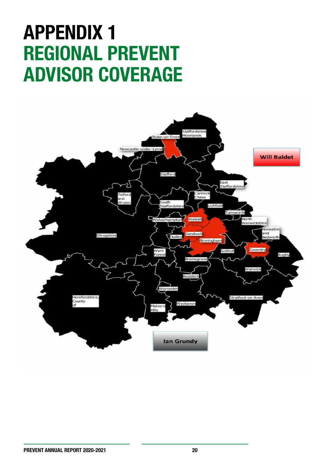### **APPENDIX 1 REGIONAL PREVENT ADVISOR COVERAGE**